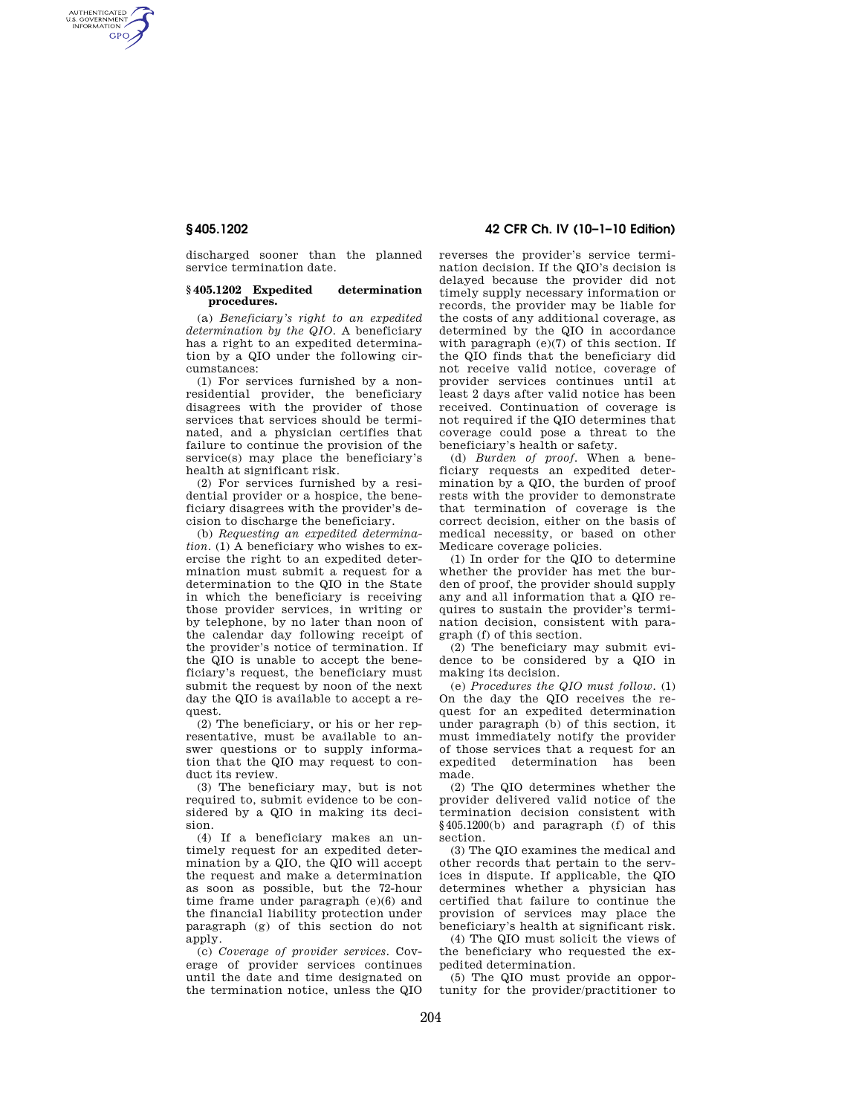AUTHENTICATED<br>U.S. GOVERNMENT<br>INFORMATION **GPO** 

> discharged sooner than the planned service termination date.

## **§ 405.1202 Expedited determination procedures.**

(a) *Beneficiary's right to an expedited determination by the QIO.* A beneficiary has a right to an expedited determination by a QIO under the following circumstances:

(1) For services furnished by a nonresidential provider, the beneficiary disagrees with the provider of those services that services should be terminated, and a physician certifies that failure to continue the provision of the service(s) may place the beneficiary's health at significant risk.

(2) For services furnished by a residential provider or a hospice, the beneficiary disagrees with the provider's decision to discharge the beneficiary.

(b) *Requesting an expedited determination.* (1) A beneficiary who wishes to exercise the right to an expedited determination must submit a request for a determination to the QIO in the State in which the beneficiary is receiving those provider services, in writing or by telephone, by no later than noon of the calendar day following receipt of the provider's notice of termination. If the QIO is unable to accept the beneficiary's request, the beneficiary must submit the request by noon of the next day the QIO is available to accept a request.

(2) The beneficiary, or his or her representative, must be available to answer questions or to supply information that the QIO may request to conduct its review.

(3) The beneficiary may, but is not required to, submit evidence to be considered by a QIO in making its decision.

(4) If a beneficiary makes an untimely request for an expedited determination by a QIO, the QIO will accept the request and make a determination as soon as possible, but the 72-hour time frame under paragraph (e)(6) and the financial liability protection under paragraph (g) of this section do not apply.

(c) *Coverage of provider services.* Coverage of provider services continues until the date and time designated on the termination notice, unless the QIO

**§ 405.1202 42 CFR Ch. IV (10–1–10 Edition)** 

reverses the provider's service termination decision. If the QIO's decision is delayed because the provider did not timely supply necessary information or records, the provider may be liable for the costs of any additional coverage, as determined by the QIO in accordance with paragraph (e)(7) of this section. If the QIO finds that the beneficiary did not receive valid notice, coverage of provider services continues until at least 2 days after valid notice has been received. Continuation of coverage is not required if the QIO determines that coverage could pose a threat to the beneficiary's health or safety.

(d) *Burden of proof.* When a beneficiary requests an expedited determination by a QIO, the burden of proof rests with the provider to demonstrate that termination of coverage is the correct decision, either on the basis of medical necessity, or based on other Medicare coverage policies.

(1) In order for the QIO to determine whether the provider has met the burden of proof, the provider should supply any and all information that a QIO requires to sustain the provider's termination decision, consistent with paragraph (f) of this section.

(2) The beneficiary may submit evidence to be considered by a QIO in making its decision.

(e) *Procedures the QIO must follow.* (1) On the day the QIO receives the request for an expedited determination under paragraph (b) of this section, it must immediately notify the provider of those services that a request for an expedited determination has been made.

(2) The QIO determines whether the provider delivered valid notice of the termination decision consistent with §405.1200(b) and paragraph (f) of this section.

(3) The QIO examines the medical and other records that pertain to the services in dispute. If applicable, the QIO determines whether a physician has certified that failure to continue the provision of services may place the beneficiary's health at significant risk.

(4) The QIO must solicit the views of the beneficiary who requested the expedited determination.

(5) The QIO must provide an opportunity for the provider/practitioner to